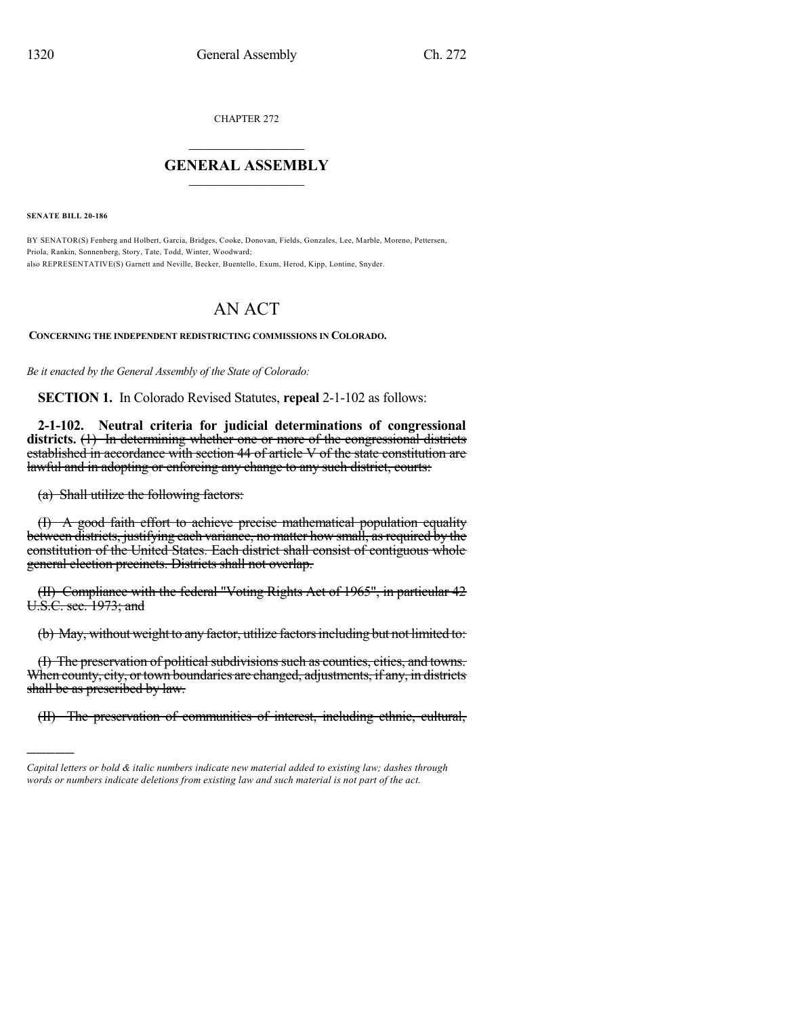CHAPTER 272

## $\mathcal{L}_\text{max}$  . The set of the set of the set of the set of the set of the set of the set of the set of the set of the set of the set of the set of the set of the set of the set of the set of the set of the set of the set **GENERAL ASSEMBLY**  $\frac{1}{\sqrt{2}}$

**SENATE BILL 20-186**

)))))

BY SENATOR(S) Fenberg and Holbert, Garcia, Bridges, Cooke, Donovan, Fields, Gonzales, Lee, Marble, Moreno, Pettersen, Priola, Rankin, Sonnenberg, Story, Tate, Todd, Winter, Woodward; also REPRESENTATIVE(S) Garnett and Neville, Becker, Buentello, Exum, Herod, Kipp, Lontine, Snyder.

# AN ACT

**CONCERNING THE INDEPENDENT REDISTRICTING COMMISSIONS IN COLORADO.**

*Be it enacted by the General Assembly of the State of Colorado:*

**SECTION 1.** In Colorado Revised Statutes, **repeal** 2-1-102 as follows:

**2-1-102. Neutral criteria for judicial determinations of congressional districts.** (1) In determining whether one or more of the congressional districts established in accordance with section 44 of article V of the state constitution are lawful and in adopting or enforcing any change to any such district, courts:

(a) Shall utilize the following factors:

(I) A good faith effort to achieve precise mathematical population equality between districts, justifying each variance, no matter how small, as required by the constitution of the United States. Each district shall consist of contiguous whole general election precincts. Districts shall not overlap.

(II) Compliance with the federal "Voting Rights Act of 1965", in particular 42 U.S.C. sec. 1973; and

(b) May, without weight to any factor, utilize factors including but not limited to:

(I) The preservation of political subdivisions such as counties, cities, and towns. When county, city, or town boundaries are changed, adjustments, if any, in districts shall be as prescribed by law.

(II) The preservation of communities of interest, including ethnic, cultural,

*Capital letters or bold & italic numbers indicate new material added to existing law; dashes through words or numbers indicate deletions from existing law and such material is not part of the act.*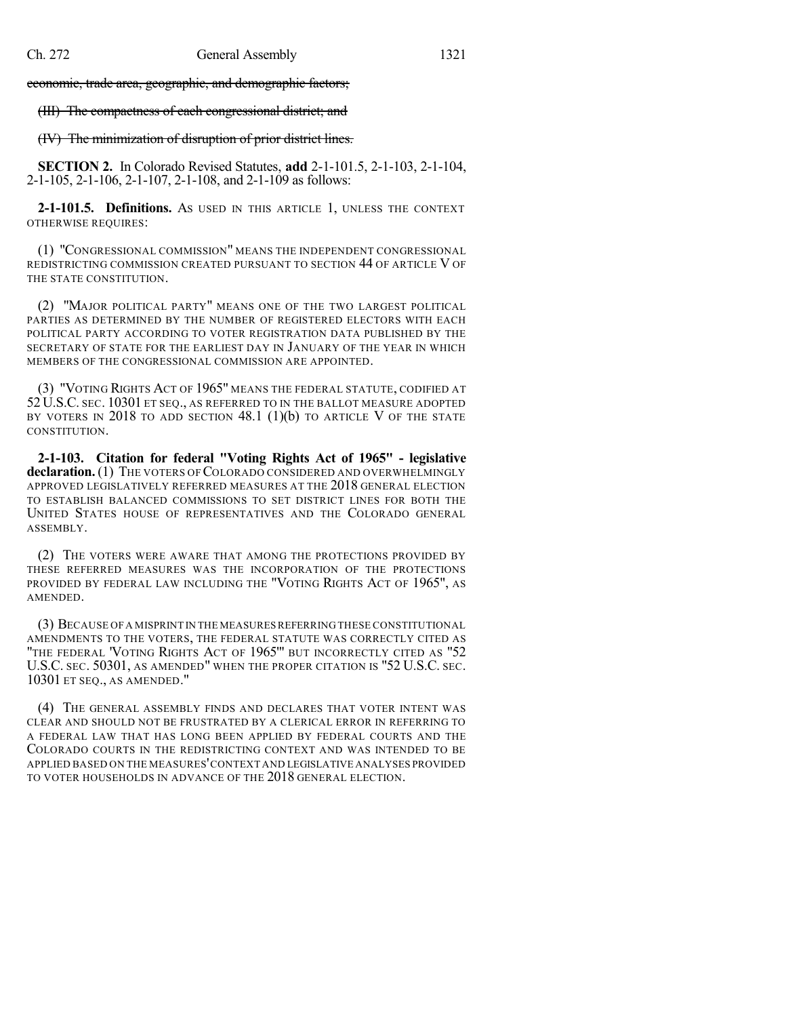economic, trade area, geographic, and demographic factors;

(III) The compactness of each congressional district; and

## (IV) The minimization of disruption of prior district lines.

**SECTION 2.** In Colorado Revised Statutes, **add** 2-1-101.5, 2-1-103, 2-1-104, 2-1-105, 2-1-106, 2-1-107, 2-1-108, and 2-1-109 as follows:

**2-1-101.5. Definitions.** AS USED IN THIS ARTICLE 1, UNLESS THE CONTEXT OTHERWISE REQUIRES:

(1) "CONGRESSIONAL COMMISSION" MEANS THE INDEPENDENT CONGRESSIONAL REDISTRICTING COMMISSION CREATED PURSUANT TO SECTION 44 OF ARTICLE V OF THE STATE CONSTITUTION.

(2) "MAJOR POLITICAL PARTY" MEANS ONE OF THE TWO LARGEST POLITICAL PARTIES AS DETERMINED BY THE NUMBER OF REGISTERED ELECTORS WITH EACH POLITICAL PARTY ACCORDING TO VOTER REGISTRATION DATA PUBLISHED BY THE SECRETARY OF STATE FOR THE EARLIEST DAY IN JANUARY OF THE YEAR IN WHICH MEMBERS OF THE CONGRESSIONAL COMMISSION ARE APPOINTED.

(3) "VOTING RIGHTS ACT OF 1965" MEANS THE FEDERAL STATUTE, CODIFIED AT 52 U.S.C. SEC. 10301 ET SEQ., AS REFERRED TO IN THE BALLOT MEASURE ADOPTED BY VOTERS IN  $2018$  to add section 48.1 (1)(b) to article V of the state CONSTITUTION.

**2-1-103. Citation for federal "Voting Rights Act of 1965" - legislative** declaration. (1) THE VOTERS OF COLORADO CONSIDERED AND OVERWHELMINGLY APPROVED LEGISLATIVELY REFERRED MEASURES AT THE 2018 GENERAL ELECTION TO ESTABLISH BALANCED COMMISSIONS TO SET DISTRICT LINES FOR BOTH THE UNITED STATES HOUSE OF REPRESENTATIVES AND THE COLORADO GENERAL ASSEMBLY.

(2) THE VOTERS WERE AWARE THAT AMONG THE PROTECTIONS PROVIDED BY THESE REFERRED MEASURES WAS THE INCORPORATION OF THE PROTECTIONS PROVIDED BY FEDERAL LAW INCLUDING THE "VOTING RIGHTS ACT OF 1965", AS AMENDED.

(3) BECAUSE OFA MISPRINT IN THE MEASURESREFERRING THESE CONSTITUTIONAL AMENDMENTS TO THE VOTERS, THE FEDERAL STATUTE WAS CORRECTLY CITED AS "THE FEDERAL 'VOTING RIGHTS ACT OF 1965" BUT INCORRECTLY CITED AS "52 U.S.C. SEC. 50301, AS AMENDED" WHEN THE PROPER CITATION IS "52 U.S.C. SEC. 10301 ET SEQ., AS AMENDED."

(4) THE GENERAL ASSEMBLY FINDS AND DECLARES THAT VOTER INTENT WAS CLEAR AND SHOULD NOT BE FRUSTRATED BY A CLERICAL ERROR IN REFERRING TO A FEDERAL LAW THAT HAS LONG BEEN APPLIED BY FEDERAL COURTS AND THE COLORADO COURTS IN THE REDISTRICTING CONTEXT AND WAS INTENDED TO BE APPLIED BASED ON THE MEASURES'CONTEXT AND LEGISLATIVE ANALYSES PROVIDED TO VOTER HOUSEHOLDS IN ADVANCE OF THE 2018 GENERAL ELECTION.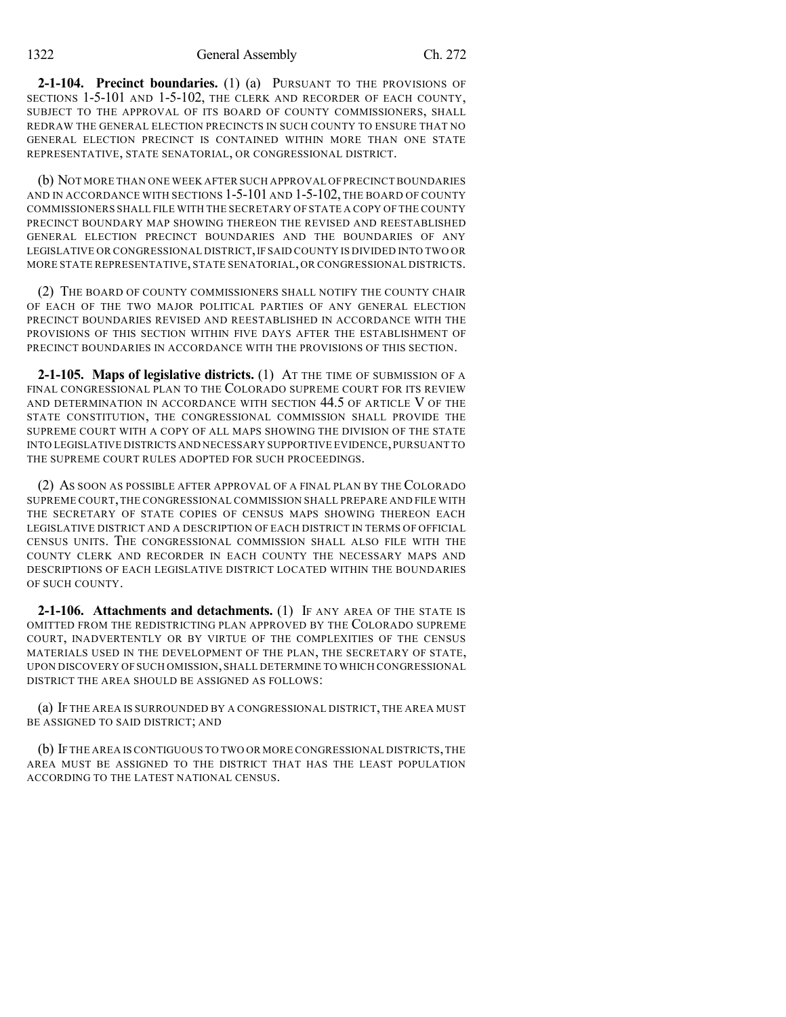**2-1-104. Precinct boundaries.** (1) (a) PURSUANT TO THE PROVISIONS OF SECTIONS 1-5-101 AND 1-5-102, THE CLERK AND RECORDER OF EACH COUNTY, SUBJECT TO THE APPROVAL OF ITS BOARD OF COUNTY COMMISSIONERS, SHALL REDRAW THE GENERAL ELECTION PRECINCTS IN SUCH COUNTY TO ENSURE THAT NO GENERAL ELECTION PRECINCT IS CONTAINED WITHIN MORE THAN ONE STATE REPRESENTATIVE, STATE SENATORIAL, OR CONGRESSIONAL DISTRICT.

(b) NOT MORE THAN ONE WEEK AFTER SUCH APPROVAL OF PRECINCT BOUNDARIES AND IN ACCORDANCE WITH SECTIONS 1-5-101 AND 1-5-102, THE BOARD OF COUNTY COMMISSIONERS SHALL FILE WITH THE SECRETARY OF STATE A COPY OF THE COUNTY PRECINCT BOUNDARY MAP SHOWING THEREON THE REVISED AND REESTABLISHED GENERAL ELECTION PRECINCT BOUNDARIES AND THE BOUNDARIES OF ANY LEGISLATIVE OR CONGRESSIONAL DISTRICT,IF SAID COUNTY IS DIVIDED INTO TWO OR MORE STATE REPRESENTATIVE, STATE SENATORIAL, OR CONGRESSIONAL DISTRICTS.

(2) THE BOARD OF COUNTY COMMISSIONERS SHALL NOTIFY THE COUNTY CHAIR OF EACH OF THE TWO MAJOR POLITICAL PARTIES OF ANY GENERAL ELECTION PRECINCT BOUNDARIES REVISED AND REESTABLISHED IN ACCORDANCE WITH THE PROVISIONS OF THIS SECTION WITHIN FIVE DAYS AFTER THE ESTABLISHMENT OF PRECINCT BOUNDARIES IN ACCORDANCE WITH THE PROVISIONS OF THIS SECTION.

**2-1-105. Maps of legislative districts.** (1) AT THE TIME OF SUBMISSION OF A FINAL CONGRESSIONAL PLAN TO THE COLORADO SUPREME COURT FOR ITS REVIEW AND DETERMINATION IN ACCORDANCE WITH SECTION 44.5 OF ARTICLE V OF THE STATE CONSTITUTION, THE CONGRESSIONAL COMMISSION SHALL PROVIDE THE SUPREME COURT WITH A COPY OF ALL MAPS SHOWING THE DIVISION OF THE STATE INTO LEGISLATIVE DISTRICTS AND NECESSARY SUPPORTIVE EVIDENCE,PURSUANT TO THE SUPREME COURT RULES ADOPTED FOR SUCH PROCEEDINGS.

(2) AS SOON AS POSSIBLE AFTER APPROVAL OF A FINAL PLAN BY THE COLORADO SUPREME COURT,THE CONGRESSIONAL COMMISSION SHALL PREPARE AND FILE WITH THE SECRETARY OF STATE COPIES OF CENSUS MAPS SHOWING THEREON EACH LEGISLATIVE DISTRICT AND A DESCRIPTION OF EACH DISTRICT IN TERMS OF OFFICIAL CENSUS UNITS. THE CONGRESSIONAL COMMISSION SHALL ALSO FILE WITH THE COUNTY CLERK AND RECORDER IN EACH COUNTY THE NECESSARY MAPS AND DESCRIPTIONS OF EACH LEGISLATIVE DISTRICT LOCATED WITHIN THE BOUNDARIES OF SUCH COUNTY.

**2-1-106. Attachments and detachments.** (1) IF ANY AREA OF THE STATE IS OMITTED FROM THE REDISTRICTING PLAN APPROVED BY THE COLORADO SUPREME COURT, INADVERTENTLY OR BY VIRTUE OF THE COMPLEXITIES OF THE CENSUS MATERIALS USED IN THE DEVELOPMENT OF THE PLAN, THE SECRETARY OF STATE, UPON DISCOVERY OF SUCH OMISSION,SHALL DETERMINE TO WHICH CONGRESSIONAL DISTRICT THE AREA SHOULD BE ASSIGNED AS FOLLOWS:

(a) IF THE AREA IS SURROUNDED BY A CONGRESSIONAL DISTRICT, THE AREA MUST BE ASSIGNED TO SAID DISTRICT; AND

(b) IF THE AREA IS CONTIGUOUS TO TWO OR MORE CONGRESSIONAL DISTRICTS,THE AREA MUST BE ASSIGNED TO THE DISTRICT THAT HAS THE LEAST POPULATION ACCORDING TO THE LATEST NATIONAL CENSUS.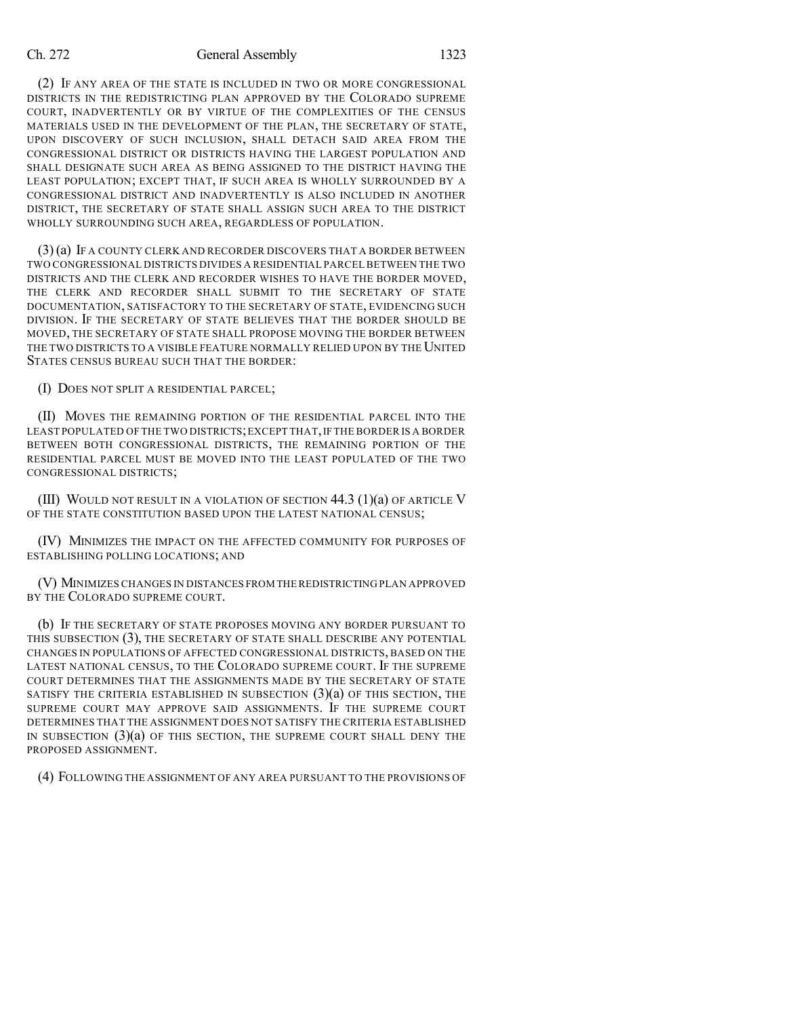#### Ch. 272 General Assembly 1323

(2) IF ANY AREA OF THE STATE IS INCLUDED IN TWO OR MORE CONGRESSIONAL DISTRICTS IN THE REDISTRICTING PLAN APPROVED BY THE COLORADO SUPREME COURT, INADVERTENTLY OR BY VIRTUE OF THE COMPLEXITIES OF THE CENSUS MATERIALS USED IN THE DEVELOPMENT OF THE PLAN, THE SECRETARY OF STATE, UPON DISCOVERY OF SUCH INCLUSION, SHALL DETACH SAID AREA FROM THE CONGRESSIONAL DISTRICT OR DISTRICTS HAVING THE LARGEST POPULATION AND SHALL DESIGNATE SUCH AREA AS BEING ASSIGNED TO THE DISTRICT HAVING THE LEAST POPULATION; EXCEPT THAT, IF SUCH AREA IS WHOLLY SURROUNDED BY A CONGRESSIONAL DISTRICT AND INADVERTENTLY IS ALSO INCLUDED IN ANOTHER DISTRICT, THE SECRETARY OF STATE SHALL ASSIGN SUCH AREA TO THE DISTRICT WHOLLY SURROUNDING SUCH AREA, REGARDLESS OF POPULATION.

(3)(a) IF A COUNTY CLERK AND RECORDER DISCOVERS THAT A BORDER BETWEEN TWO CONGRESSIONAL DISTRICTS DIVIDES A RESIDENTIAL PARCEL BETWEEN THE TWO DISTRICTS AND THE CLERK AND RECORDER WISHES TO HAVE THE BORDER MOVED, THE CLERK AND RECORDER SHALL SUBMIT TO THE SECRETARY OF STATE DOCUMENTATION, SATISFACTORY TO THE SECRETARY OF STATE, EVIDENCING SUCH DIVISION. IF THE SECRETARY OF STATE BELIEVES THAT THE BORDER SHOULD BE MOVED, THE SECRETARY OF STATE SHALL PROPOSE MOVING THE BORDER BETWEEN THE TWO DISTRICTS TO A VISIBLE FEATURE NORMALLY RELIED UPON BY THE UNITED STATES CENSUS BUREAU SUCH THAT THE BORDER:

(I) DOES NOT SPLIT A RESIDENTIAL PARCEL;

(II) MOVES THE REMAINING PORTION OF THE RESIDENTIAL PARCEL INTO THE LEAST POPULATED OF THE TWO DISTRICTS; EXCEPT THAT, IF THE BORDER IS A BORDER BETWEEN BOTH CONGRESSIONAL DISTRICTS, THE REMAINING PORTION OF THE RESIDENTIAL PARCEL MUST BE MOVED INTO THE LEAST POPULATED OF THE TWO CONGRESSIONAL DISTRICTS;

(III) WOULD NOT RESULT IN A VIOLATION OF SECTION  $44.3$  (1)(a) OF ARTICLE V OF THE STATE CONSTITUTION BASED UPON THE LATEST NATIONAL CENSUS;

(IV) MINIMIZES THE IMPACT ON THE AFFECTED COMMUNITY FOR PURPOSES OF ESTABLISHING POLLING LOCATIONS; AND

(V) MINIMIZES CHANGES IN DISTANCES FROM THEREDISTRICTING PLAN APPROVED BY THE COLORADO SUPREME COURT.

(b) IF THE SECRETARY OF STATE PROPOSES MOVING ANY BORDER PURSUANT TO THIS SUBSECTION (3), THE SECRETARY OF STATE SHALL DESCRIBE ANY POTENTIAL CHANGES IN POPULATIONS OF AFFECTED CONGRESSIONAL DISTRICTS, BASED ON THE LATEST NATIONAL CENSUS, TO THE COLORADO SUPREME COURT. IF THE SUPREME COURT DETERMINES THAT THE ASSIGNMENTS MADE BY THE SECRETARY OF STATE SATISFY THE CRITERIA ESTABLISHED IN SUBSECTION  $(3)(a)$  OF THIS SECTION, THE SUPREME COURT MAY APPROVE SAID ASSIGNMENTS. IF THE SUPREME COURT DETERMINES THAT THE ASSIGNMENT DOES NOT SATISFY THE CRITERIA ESTABLISHED IN SUBSECTION  $(3)(a)$  OF THIS SECTION, THE SUPREME COURT SHALL DENY THE PROPOSED ASSIGNMENT.

(4) FOLLOWING THE ASSIGNMENT OF ANY AREA PURSUANT TO THE PROVISIONS OF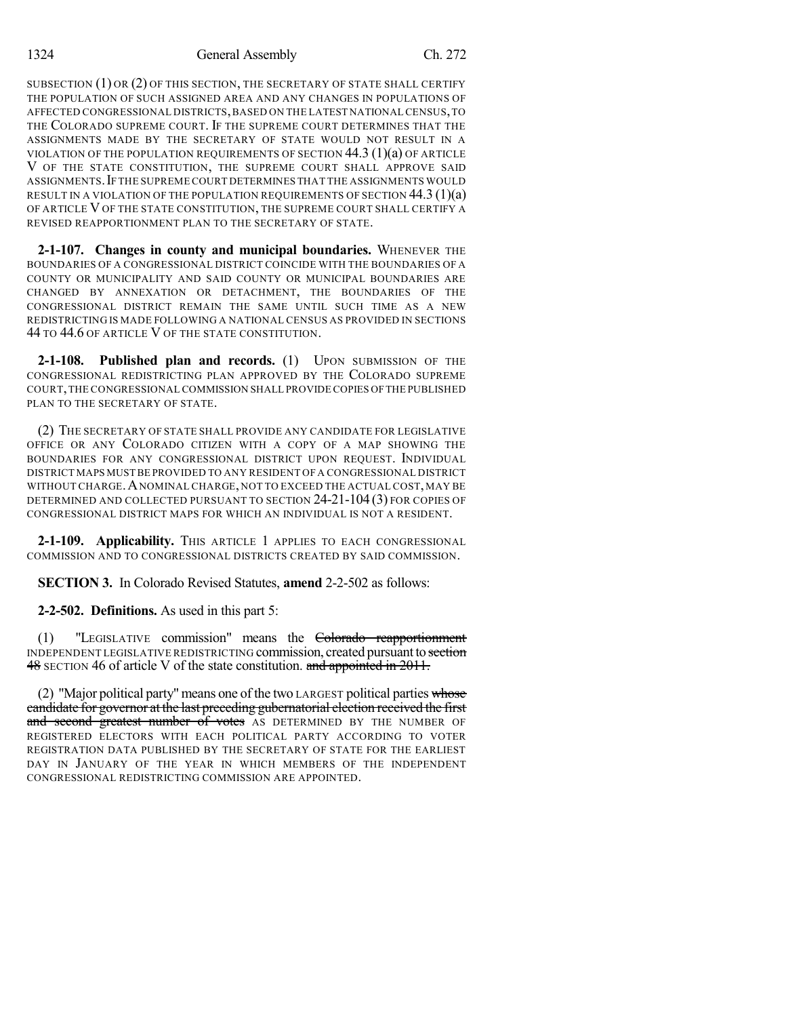SUBSECTION (1) OR (2) OF THIS SECTION, THE SECRETARY OF STATE SHALL CERTIFY THE POPULATION OF SUCH ASSIGNED AREA AND ANY CHANGES IN POPULATIONS OF AFFECTED CONGRESSIONAL DISTRICTS,BASED ON THE LATEST NATIONAL CENSUS,TO THE COLORADO SUPREME COURT. IF THE SUPREME COURT DETERMINES THAT THE ASSIGNMENTS MADE BY THE SECRETARY OF STATE WOULD NOT RESULT IN A VIOLATION OF THE POPULATION REQUIREMENTS OF SECTION  $44.3$  (1)(a) OF ARTICLE V OF THE STATE CONSTITUTION, THE SUPREME COURT SHALL APPROVE SAID ASSIGNMENTS.IF THE SUPREME COURT DETERMINES THAT THE ASSIGNMENTS WOULD RESULT IN A VIOLATION OF THE POPULATION REQUIREMENTS OF SECTION  $44.3$  (1)(a) OF ARTICLE VOF THE STATE CONSTITUTION, THE SUPREME COURT SHALL CERTIFY A REVISED REAPPORTIONMENT PLAN TO THE SECRETARY OF STATE.

**2-1-107. Changes in county and municipal boundaries.** WHENEVER THE BOUNDARIES OF A CONGRESSIONAL DISTRICT COINCIDE WITH THE BOUNDARIES OF A COUNTY OR MUNICIPALITY AND SAID COUNTY OR MUNICIPAL BOUNDARIES ARE CHANGED BY ANNEXATION OR DETACHMENT, THE BOUNDARIES OF THE CONGRESSIONAL DISTRICT REMAIN THE SAME UNTIL SUCH TIME AS A NEW REDISTRICTING IS MADE FOLLOWING A NATIONAL CENSUS AS PROVIDED IN SECTIONS 44 TO 44.6 OF ARTICLE V OF THE STATE CONSTITUTION.

**2-1-108. Published plan and records.** (1) UPON SUBMISSION OF THE CONGRESSIONAL REDISTRICTING PLAN APPROVED BY THE COLORADO SUPREME COURT,THE CONGRESSIONAL COMMISSION SHALL PROVIDE COPIES OFTHE PUBLISHED PLAN TO THE SECRETARY OF STATE.

(2) THE SECRETARY OF STATE SHALL PROVIDE ANY CANDIDATE FOR LEGISLATIVE OFFICE OR ANY COLORADO CITIZEN WITH A COPY OF A MAP SHOWING THE BOUNDARIES FOR ANY CONGRESSIONAL DISTRICT UPON REQUEST. INDIVIDUAL DISTRICT MAPS MUST BE PROVIDED TO ANY RESIDENT OF A CONGRESSIONAL DISTRICT WITHOUT CHARGE.ANOMINAL CHARGE, NOT TO EXCEED THE ACTUAL COST, MAY BE DETERMINED AND COLLECTED PURSUANT TO SECTION 24-21-104 (3) FOR COPIES OF CONGRESSIONAL DISTRICT MAPS FOR WHICH AN INDIVIDUAL IS NOT A RESIDENT.

**2-1-109. Applicability.** THIS ARTICLE 1 APPLIES TO EACH CONGRESSIONAL COMMISSION AND TO CONGRESSIONAL DISTRICTS CREATED BY SAID COMMISSION.

**SECTION 3.** In Colorado Revised Statutes, **amend** 2-2-502 as follows:

**2-2-502. Definitions.** As used in this part 5:

(1) "LEGISLATIVE commission" means the Colorado reapportionment INDEPENDENT LEGISLATIVE REDISTRICTING commission, created pursuant to section 48 SECTION 46 of article V of the state constitution. and appointed in 2011.

(2) "Major political party" means one of the two LARGEST political parties whose candidate for governor at the last preceding gubernatorial election received the first and second greatest number of votes AS DETERMINED BY THE NUMBER OF REGISTERED ELECTORS WITH EACH POLITICAL PARTY ACCORDING TO VOTER REGISTRATION DATA PUBLISHED BY THE SECRETARY OF STATE FOR THE EARLIEST DAY IN JANUARY OF THE YEAR IN WHICH MEMBERS OF THE INDEPENDENT CONGRESSIONAL REDISTRICTING COMMISSION ARE APPOINTED.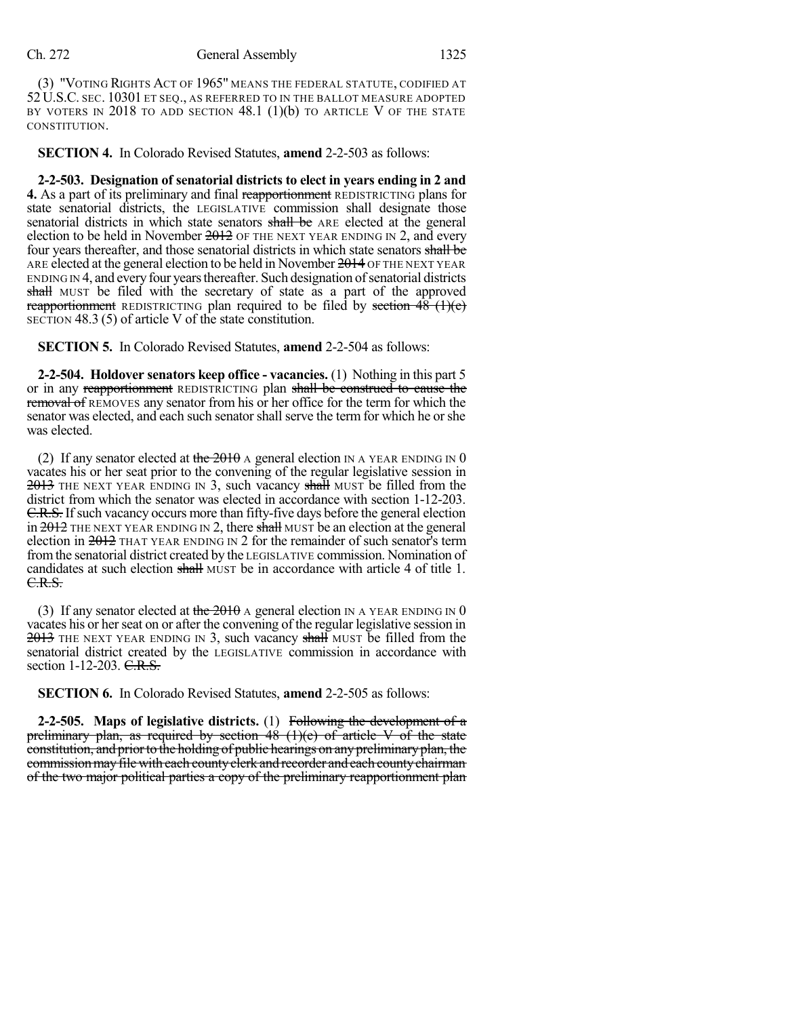(3) "VOTING RIGHTS ACT OF 1965" MEANS THE FEDERAL STATUTE, CODIFIED AT 52 U.S.C. SEC. 10301 ET SEQ., AS REFERRED TO IN THE BALLOT MEASURE ADOPTED BY VOTERS IN  $2018$  to add section 48.1 (1)(b) to article V of the state CONSTITUTION.

**SECTION 4.** In Colorado Revised Statutes, **amend** 2-2-503 as follows:

**2-2-503. Designation of senatorial districts to elect in years ending in 2 and 4.** As a part of its preliminary and final reapportionment REDISTRICTING plans for state senatorial districts, the LEGISLATIVE commission shall designate those senatorial districts in which state senators shall be ARE elected at the general election to be held in November  $2012$  OF THE NEXT YEAR ENDING IN 2, and every four years thereafter, and those senatorial districts in which state senators shall be ARE elected at the general election to be held in November 2014 OF THE NEXT YEAR ENDING IN 4, and every four years thereafter. Such designation of senatorial districts shall MUST be filed with the secretary of state as a part of the approved reapportionment REDISTRICTING plan required to be filed by section  $48 \text{ (+)}$ SECTION 48.3 (5) of article V of the state constitution.

**SECTION 5.** In Colorado Revised Statutes, **amend** 2-2-504 as follows:

**2-2-504. Holdover senators keep office - vacancies.** (1) Nothing in this part 5 or in any reapportionment REDISTRICTING plan shall be construed to cause the removal of REMOVES any senator from his or her office for the term for which the senator was elected, and each such senator shall serve the term for which he orshe was elected.

(2) If any senator elected at the  $2010$  A general election IN A YEAR ENDING IN 0 vacates his or her seat prior to the convening of the regular legislative session in  $2013$  THE NEXT YEAR ENDING IN 3, such vacancy shall MUST be filled from the district from which the senator was elected in accordance with section 1-12-203. **C.R.S.** If such vacancy occurs more than fifty-five days before the general election in  $2012$  THE NEXT YEAR ENDING IN 2, there shall MUST be an election at the general election in 2012 THAT YEAR ENDING IN 2 for the remainder of such senator's term fromthe senatorial district created by the LEGISLATIVE commission. Nomination of candidates at such election shall MUST be in accordance with article 4 of title 1. C.R.S.

(3) If any senator elected at the  $2010$  A general election IN A YEAR ENDING IN 0 vacates his or her seat on or after the convening of the regular legislative session in  $2013$  THE NEXT YEAR ENDING IN 3, such vacancy shall MUST be filled from the senatorial district created by the LEGISLATIVE commission in accordance with section 1-12-203. C.R.S.

**SECTION 6.** In Colorado Revised Statutes, **amend** 2-2-505 as follows:

**2-2-505. Maps of legislative districts.** (1) Following the development of a preliminary plan, as required by section  $48$  (1)(e) of article V of the state constitution, and prior to the holding of public hearings on any preliminary plan, the commission may file with each county clerk and recorder and each county chairman of the two major political parties a copy of the preliminary reapportionment plan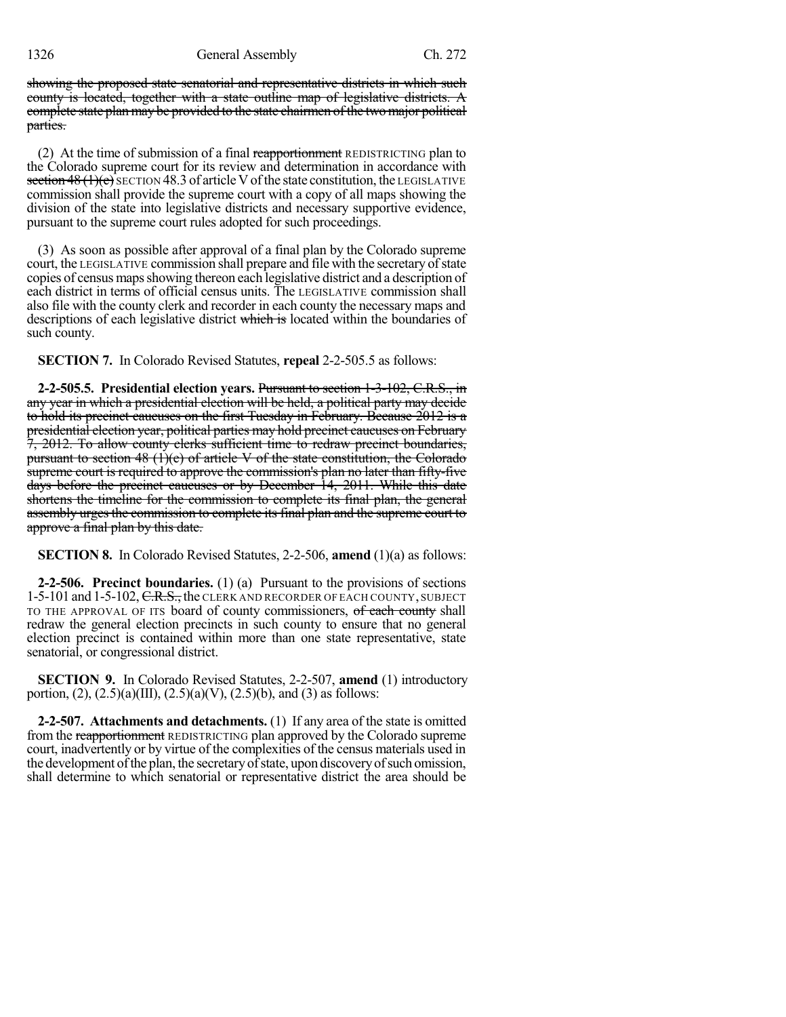1326 General Assembly Ch. 272

showing the proposed state senatorial and representative districts in which such county is located, together with a state outline map of legislative districts. A complete state plan may be provided to the state chairmen ofthe two major political parties.

(2) At the time of submission of a final reapportionment REDISTRICTING plan to the Colorado supreme court for its review and determination in accordance with section  $48(1)(e)$  SECTION 48.3 of article V of the state constitution, the LEGISLATIVE commission shall provide the supreme court with a copy of all maps showing the division of the state into legislative districts and necessary supportive evidence, pursuant to the supreme court rules adopted for such proceedings.

(3) As soon as possible after approval of a final plan by the Colorado supreme court, the LEGISLATIVE commission shall prepare and file with the secretary ofstate copies of census maps showing thereon each legislative district and a description of each district in terms of official census units. The LEGISLATIVE commission shall also file with the county clerk and recorder in each county the necessary maps and descriptions of each legislative district which is located within the boundaries of such county.

**SECTION 7.** In Colorado Revised Statutes, **repeal** 2-2-505.5 as follows:

**2-2-505.5. Presidential election years.** Pursuant to section 1-3-102, C.R.S., in any year in which a presidential election will be held, a political party may decide to hold its precinct caucuses on the first Tuesday in February. Because 2012 is a presidential election year, political parties may hold precinct caucuses on February 7, 2012. To allow county clerks sufficient time to redraw precinct boundaries, pursuant to section  $48 \text{ (1)(e)}$  of article V of the state constitution, the Colorado supreme court is required to approve the commission's plan no later than fifty-five days before the precinct caucuses or by December 14, 2011. While this date shortens the timeline for the commission to complete its final plan, the general assembly urges the commission to complete its final plan and the supreme court to approve a final plan by this date.

**SECTION 8.** In Colorado Revised Statutes, 2-2-506, **amend** (1)(a) as follows:

**2-2-506. Precinct boundaries.** (1) (a) Pursuant to the provisions of sections 1-5-101 and 1-5-102, C.R.S., the CLERK AND RECORDER OF EACH COUNTY, SUBJECT TO THE APPROVAL OF ITS board of county commissioners, of each county shall redraw the general election precincts in such county to ensure that no general election precinct is contained within more than one state representative, state senatorial, or congressional district.

**SECTION 9.** In Colorado Revised Statutes, 2-2-507, **amend** (1) introductory portion,  $(2)$ ,  $(2.5)(a)(III)$ ,  $(2.5)(a)(V)$ ,  $(2.5)(b)$ , and  $(3)$  as follows:

**2-2-507. Attachments and detachments.** (1) If any area of the state is omitted from the reapportionment REDISTRICTING plan approved by the Colorado supreme court, inadvertently or by virtue of the complexities of the census materials used in the development of the plan, the secretary of state, upon discovery of such omission, shall determine to which senatorial or representative district the area should be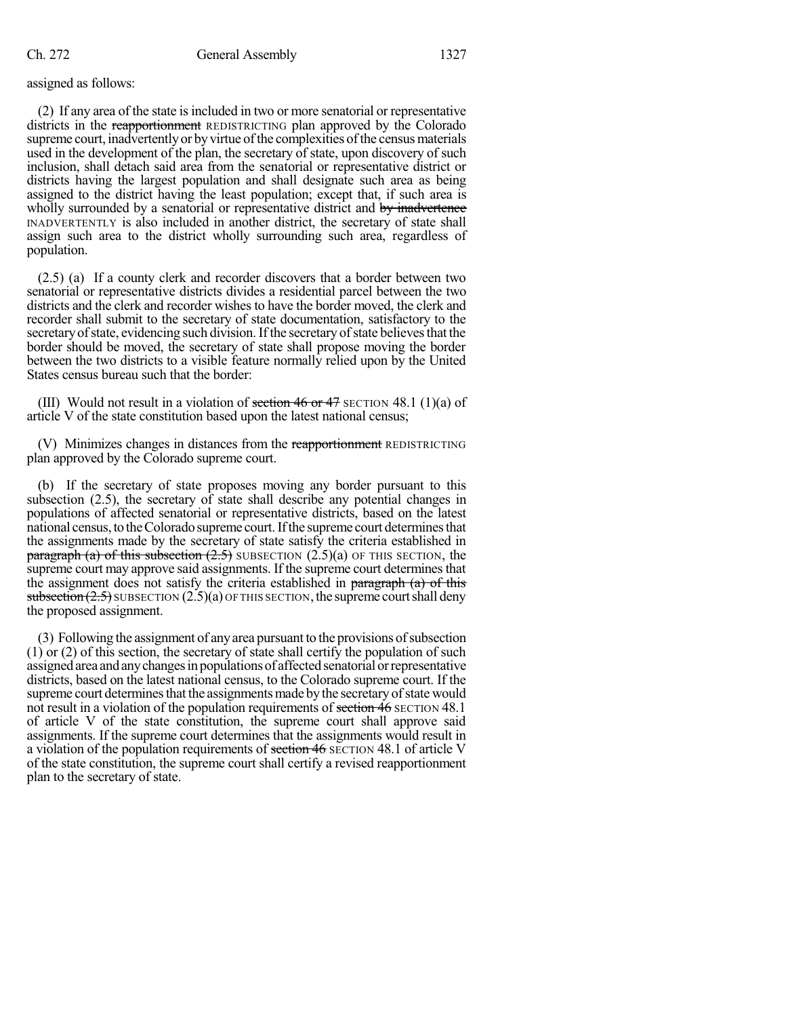#### assigned as follows:

(2) If any area of the state isincluded in two or more senatorial or representative districts in the reapportionment REDISTRICTING plan approved by the Colorado supreme court, inadvertently or by virtue of the complexities of the census materials used in the development of the plan, the secretary of state, upon discovery of such inclusion, shall detach said area from the senatorial or representative district or districts having the largest population and shall designate such area as being assigned to the district having the least population; except that, if such area is wholly surrounded by a senatorial or representative district and by inadvertence INADVERTENTLY is also included in another district, the secretary of state shall assign such area to the district wholly surrounding such area, regardless of population.

(2.5) (a) If a county clerk and recorder discovers that a border between two senatorial or representative districts divides a residential parcel between the two districts and the clerk and recorder wishes to have the border moved, the clerk and recorder shall submit to the secretary of state documentation, satisfactory to the secretary of state, evidencing such division. If the secretary of state believes that the border should be moved, the secretary of state shall propose moving the border between the two districts to a visible feature normally relied upon by the United States census bureau such that the border:

(III) Would not result in a violation of section 46 or 47 SECTION 48.1 (1)(a) of article V of the state constitution based upon the latest national census;

(V) Minimizes changes in distances from the reapportionment REDISTRICTING plan approved by the Colorado supreme court.

(b) If the secretary of state proposes moving any border pursuant to this subsection (2.5), the secretary of state shall describe any potential changes in populations of affected senatorial or representative districts, based on the latest national census, to the Colorado supreme court. If the supreme court determines that the assignments made by the secretary of state satisfy the criteria established in paragraph (a) of this subsection  $(2.5)$  SUBSECTION  $(2.5)(a)$  OF THIS SECTION, the supreme court may approve said assignments. If the supreme court determines that the assignment does not satisfy the criteria established in paragraph  $(a)$  of this subsection  $(2.5)$  SUBSECTION  $(2.5)(a)$  OF THIS SECTION, the supreme court shall deny the proposed assignment.

(3) Following the assignment of any area pursuant to the provisions of subsection (1) or (2) of this section, the secretary of state shall certify the population of such assigned area and any changes in populations of affected senatorial or representative districts, based on the latest national census, to the Colorado supreme court. If the supreme court determines that the assignments made by the secretary of state would not result in a violation of the population requirements of section 46 SECTION 48.1 of article V of the state constitution, the supreme court shall approve said assignments. If the supreme court determines that the assignments would result in a violation of the population requirements of section 46 SECTION 48.1 of article V of the state constitution, the supreme court shall certify a revised reapportionment plan to the secretary of state.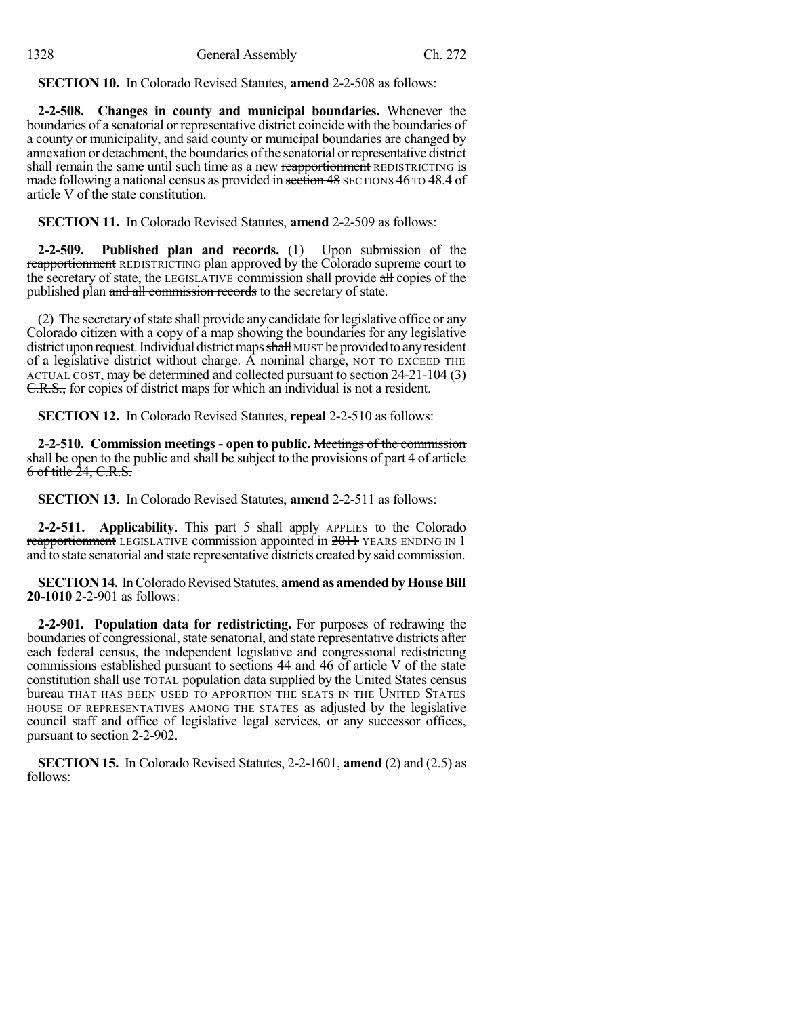**SECTION 10.** In Colorado Revised Statutes, **amend** 2-2-508 as follows:

**2-2-508. Changes in county and municipal boundaries.** Whenever the boundaries of a senatorial or representative district coincide with the boundaries of a county or municipality, and said county or municipal boundaries are changed by annexation or detachment, the boundaries ofthe senatorial orrepresentative district shall remain the same until such time as a new reapportionment REDISTRICTING is made following a national census as provided in section 48 SECTIONS 46 TO 48.4 of article V of the state constitution.

**SECTION 11.** In Colorado Revised Statutes, **amend** 2-2-509 as follows:

**2-2-509. Published plan and records.** (1) Upon submission of the reapportionment REDISTRICTING plan approved by the Colorado supreme court to the secretary of state, the LEGISLATIVE commission shall provide all copies of the published plan and all commission records to the secretary of state.

(2) The secretary of state shall provide any candidate for legislative office or any Colorado citizen with a copy of a map showing the boundaries for any legislative district upon request. Individual district maps shall MUST be provided to any resident of a legislative district without charge. A nominal charge, NOT TO EXCEED THE ACTUAL COST, may be determined and collected pursuant to section 24-21-104 (3) C.R.S., for copies of district maps for which an individual is not a resident.

**SECTION 12.** In Colorado Revised Statutes, **repeal** 2-2-510 as follows:

**2-2-510. Commission meetings - open to public.** Meetings of the commission shall be open to the public and shall be subject to the provisions of part 4 of article  $6$  of title  $24, C.R.S.$ 

**SECTION 13.** In Colorado Revised Statutes, **amend** 2-2-511 as follows:

**2-2-511.** Applicability. This part 5 shall apply APPLIES to the Colorado reapportionment LEGISLATIVE commission appointed in 2011 YEARS ENDING IN 1 and to state senatorial and state representative districts created by said commission.

**SECTION 14.** In Colorado Revised Statutes, **amend as amended by House Bill 20-1010** 2-2-901 as follows:

**2-2-901. Population data for redistricting.** For purposes of redrawing the boundaries of congressional, state senatorial, and state representative districts after each federal census, the independent legislative and congressional redistricting commissions established pursuant to sections 44 and 46 of article V of the state constitution shall use TOTAL population data supplied by the United States census bureau THAT HAS BEEN USED TO APPORTION THE SEATS IN THE UNITED STATES HOUSE OF REPRESENTATIVES AMONG THE STATES as adjusted by the legislative council staff and office of legislative legal services, or any successor offices, pursuant to section 2-2-902.

**SECTION 15.** In Colorado Revised Statutes, 2-2-1601, **amend** (2) and (2.5) as follows: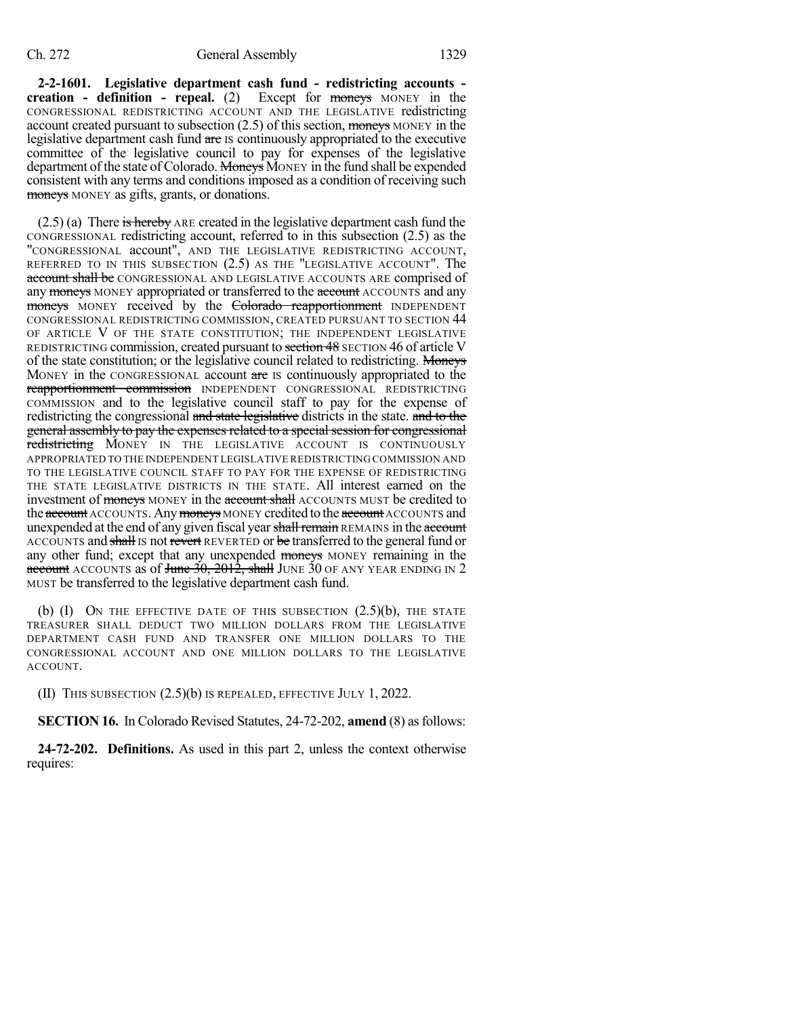**2-2-1601. Legislative department cash fund - redistricting accounts creation - definition - repeal.** (2) Except for moneys MONEY in the CONGRESSIONAL REDISTRICTING ACCOUNT AND THE LEGISLATIVE redistricting account created pursuant to subsection (2.5) of this section, moneys MONEY in the legislative department cash fund are IS continuously appropriated to the executive committee of the legislative council to pay for expenses of the legislative department of the state of Colorado. Moneys MONEY in the fund shall be expended consistent with any terms and conditions imposed as a condition of receiving such moneys MONEY as gifts, grants, or donations.

 $(2.5)$  (a) There is hereby ARE created in the legislative department cash fund the CONGRESSIONAL redistricting account, referred to in this subsection (2.5) as the "CONGRESSIONAL account", AND THE LEGISLATIVE REDISTRICTING ACCOUNT, REFERRED TO IN THIS SUBSECTION (2.5) AS THE "LEGISLATIVE ACCOUNT". The account shall be CONGRESSIONAL AND LEGISLATIVE ACCOUNTS ARE comprised of any moneys MONEY appropriated or transferred to the account ACCOUNTS and any moneys MONEY received by the Colorado reapportionment INDEPENDENT CONGRESSIONAL REDISTRICTING COMMISSION, CREATED PURSUANT TO SECTION 44 OF ARTICLE V OF THE STATE CONSTITUTION; THE INDEPENDENT LEGISLATIVE REDISTRICTING commission, created pursuant to section 48 SECTION 46 of article V of the state constitution; or the legislative council related to redistricting. Moneys MONEY in the CONGRESSIONAL account are IS continuously appropriated to the reapportionment commission INDEPENDENT CONGRESSIONAL REDISTRICTING COMMISSION and to the legislative council staff to pay for the expense of redistricting the congressional and state legislative districts in the state. and to the general assembly to pay the expenses related to a special session for congressional redistricting MONEY IN THE LEGISLATIVE ACCOUNT IS CONTINUOUSLY APPROPRIATED TO THE INDEPENDENT LEGISLATIVE REDISTRICTING COMMISSION AND TO THE LEGISLATIVE COUNCIL STAFF TO PAY FOR THE EXPENSE OF REDISTRICTING THE STATE LEGISLATIVE DISTRICTS IN THE STATE. All interest earned on the investment of moneys MONEY in the account shall ACCOUNTS MUST be credited to the account ACCOUNTS. Any moneys MONEY credited to the account ACCOUNTS and unexpended at the end of any given fiscal year shall remain REMAINS in the account ACCOUNTS and shall IS not revert REVERTED or be transferred to the general fund or any other fund; except that any unexpended moneys MONEY remaining in the account ACCOUNTS as of June  $30$ ,  $2012$ , shall JUNE  $30$  OF ANY YEAR ENDING IN 2 MUST be transferred to the legislative department cash fund.

(b)  $(I)$  On the effective date of this subsection  $(2.5)(b)$ , the state TREASURER SHALL DEDUCT TWO MILLION DOLLARS FROM THE LEGISLATIVE DEPARTMENT CASH FUND AND TRANSFER ONE MILLION DOLLARS TO THE CONGRESSIONAL ACCOUNT AND ONE MILLION DOLLARS TO THE LEGISLATIVE ACCOUNT.

(II) THIS SUBSECTION (2.5)(b) IS REPEALED, EFFECTIVE JULY 1, 2022.

**SECTION 16.** In Colorado Revised Statutes, 24-72-202, **amend** (8) asfollows:

**24-72-202. Definitions.** As used in this part 2, unless the context otherwise requires: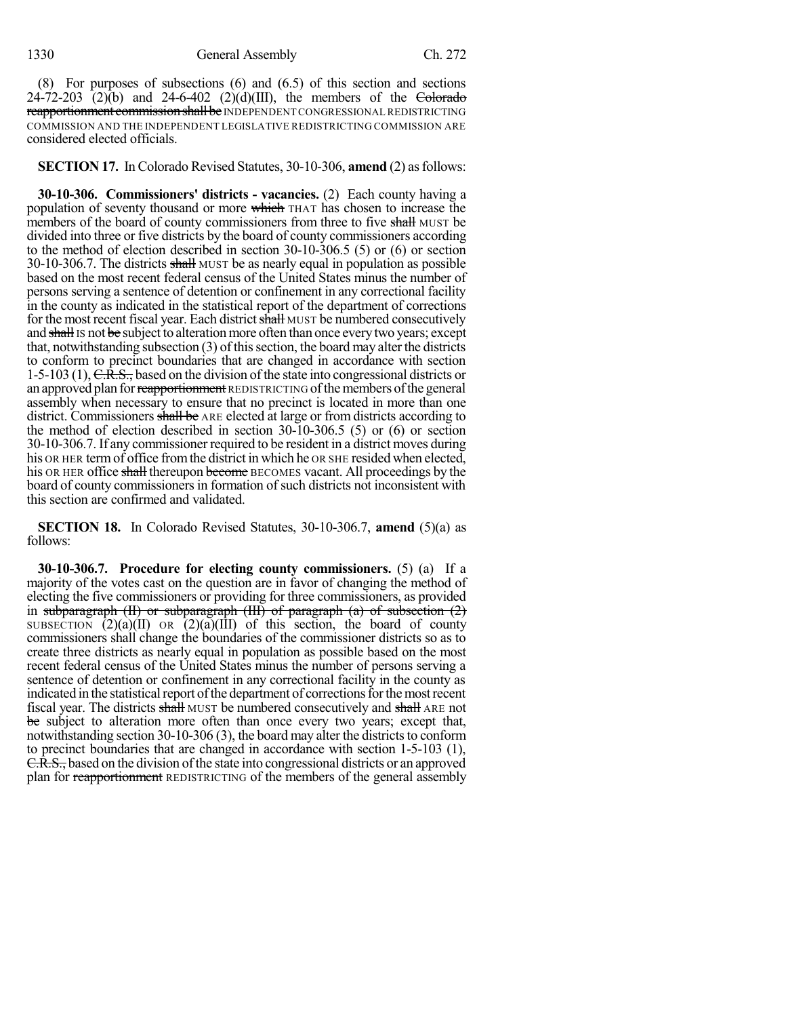(8) For purposes of subsections (6) and (6.5) of this section and sections  $24-72-203$  (2)(b) and  $24-6-402$  (2)(d)(III), the members of the Colorado reapportionment commission shall be INDEPENDENT CONGRESSIONAL REDISTRICTING COMMISSION AND THE INDEPENDENT LEGISLATIVE REDISTRICTING COMMISSION ARE considered elected officials.

### **SECTION 17.** In Colorado Revised Statutes, 30-10-306, **amend** (2) as follows:

**30-10-306. Commissioners' districts - vacancies.** (2) Each county having a population of seventy thousand or more which THAT has chosen to increase the members of the board of county commissioners from three to five shall MUST be divided into three or five districts by the board of county commissioners according to the method of election described in section 30-10-306.5 (5) or (6) or section 30-10-306.7. The districts shall MUST be as nearly equal in population as possible based on the most recent federal census of the United States minus the number of persons serving a sentence of detention or confinement in any correctional facility in the county as indicated in the statistical report of the department of corrections for the most recent fiscal year. Each district shall MUST be numbered consecutively and shall is not be subject to alteration more often than once every two years; except that, notwithstanding subsection  $(3)$  of this section, the board may alter the districts to conform to precinct boundaries that are changed in accordance with section 1-5-103 (1),  $C.R.S.,$  based on the division of the state into congressional districts or an approved plan for reapportionment REDISTRICTING of the members of the general assembly when necessary to ensure that no precinct is located in more than one district. Commissioners shall be ARE elected at large or from districts according to the method of election described in section 30-10-306.5 (5) or (6) or section 30-10-306.7. If any commissioner required to be resident in a district moves during his OR HER term of office from the district in which he OR SHE resided when elected, his OR HER office shall thereupon become BECOMES vacant. All proceedings by the board of county commissionersin formation of such districts not inconsistent with this section are confirmed and validated.

**SECTION 18.** In Colorado Revised Statutes, 30-10-306.7, **amend** (5)(a) as follows:

**30-10-306.7. Procedure for electing county commissioners.** (5) (a) If a majority of the votes cast on the question are in favor of changing the method of electing the five commissioners or providing for three commissioners, as provided in subparagraph  $(H)$  or subparagraph  $(H)$  of paragraph  $(a)$  of subsection  $(2)$ SUBSECTION  $(2)(a)(II)$  OR  $(2)(a)(III)$  of this section, the board of county commissioners shall change the boundaries of the commissioner districts so as to create three districts as nearly equal in population as possible based on the most recent federal census of the United States minus the number of persons serving a sentence of detention or confinement in any correctional facility in the county as indicated in the statistical report of the department of corrections for the most recent fiscal year. The districts shall MUST be numbered consecutively and shall ARE not be subject to alteration more often than once every two years; except that, notwithstanding section  $30-10-306$  (3), the board may alter the districts to conform to precinct boundaries that are changed in accordance with section 1-5-103 (1), C.R.S., based on the division of the state into congressional districts or an approved plan for reapportionment REDISTRICTING of the members of the general assembly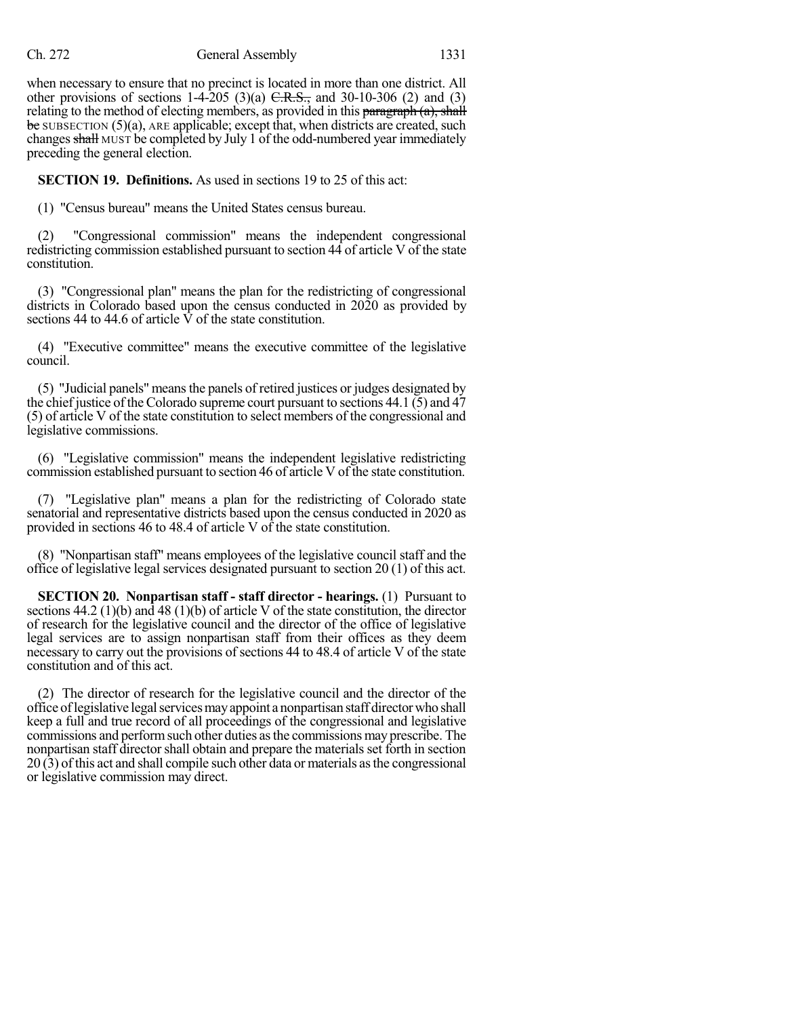#### Ch. 272 General Assembly 1331

when necessary to ensure that no precinct is located in more than one district. All other provisions of sections  $1-4-205$  (3)(a)  $C.R.S.,$  and 30-10-306 (2) and (3) relating to the method of electing members, as provided in this paragraph  $(a)$ , shall  $\frac{1}{2}$  be SUBSECTION (5)(a), ARE applicable; except that, when districts are created, such changes shall MUST be completed by July 1 of the odd-numbered year immediately preceding the general election.

**SECTION 19. Definitions.** As used in sections 19 to 25 of this act:

(1) "Census bureau" means the United States census bureau.

(2) "Congressional commission" means the independent congressional redistricting commission established pursuant to section 44 of article V of the state constitution.

(3) "Congressional plan" means the plan for the redistricting of congressional districts in Colorado based upon the census conducted in 2020 as provided by sections 44 to 44.6 of article  $\hat{V}$  of the state constitution.

(4) "Executive committee" means the executive committee of the legislative council.

(5) "Judicial panels" meansthe panels of retired justices or judges designated by the chief justice of the Colorado supreme court pursuant to sections 44.1 (5) and 47 (5) of article V of the state constitution to select members of the congressional and legislative commissions.

(6) "Legislative commission" means the independent legislative redistricting commission established pursuant to section 46 of article V of the state constitution.

(7) "Legislative plan" means a plan for the redistricting of Colorado state senatorial and representative districts based upon the census conducted in 2020 as provided in sections 46 to 48.4 of article V of the state constitution.

(8) "Nonpartisan staff" means employees of the legislative council staff and the office of legislative legal services designated pursuant to section 20 (1) of this act.

**SECTION 20. Nonpartisan staff - staff director - hearings.** (1) Pursuant to sections 44.2 (1)(b) and 48 (1)(b) of article V of the state constitution, the director of research for the legislative council and the director of the office of legislative legal services are to assign nonpartisan staff from their offices as they deem necessary to carry out the provisions of sections 44 to 48.4 of article V of the state constitution and of this act.

(2) The director of research for the legislative council and the director of the office oflegislative legalservicesmayappoint a nonpartisan staff directorwho shall keep a full and true record of all proceedings of the congressional and legislative commissions and performsuch other duties asthe commissions may prescribe. The nonpartisan staff directorshall obtain and prepare the materials set forth in section 20 (3) of this act and shall compile such other data or materials asthe congressional or legislative commission may direct.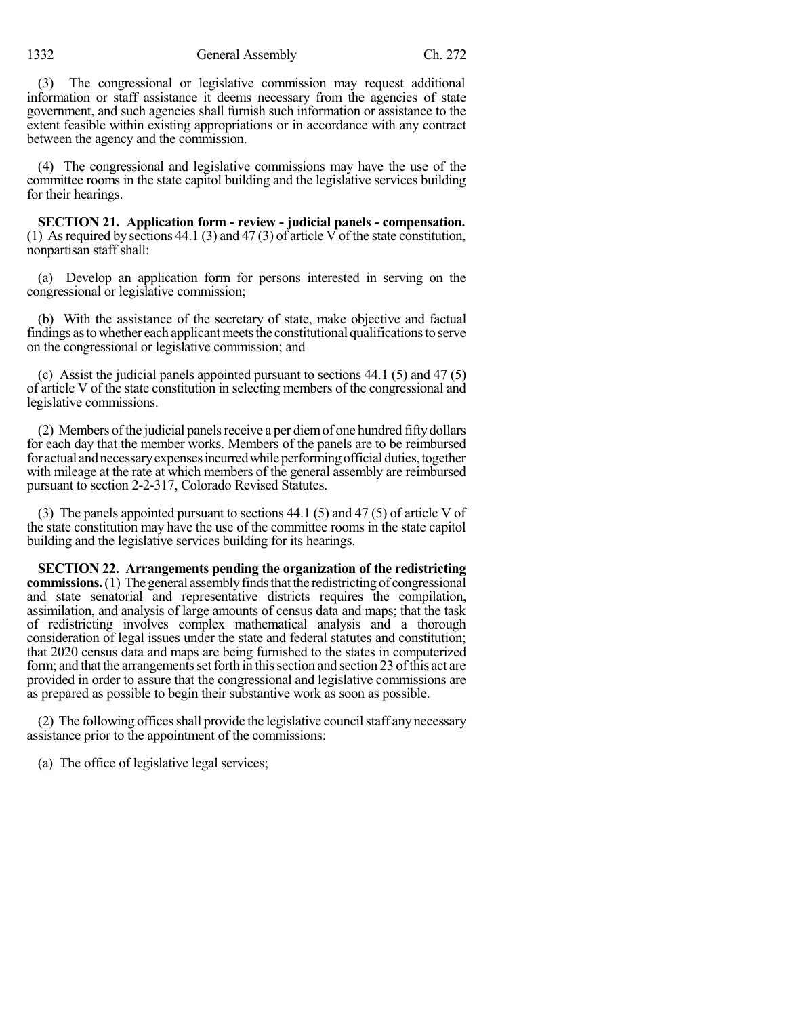(3) The congressional or legislative commission may request additional information or staff assistance it deems necessary from the agencies of state government, and such agencies shall furnish such information or assistance to the extent feasible within existing appropriations or in accordance with any contract between the agency and the commission.

(4) The congressional and legislative commissions may have the use of the committee rooms in the state capitol building and the legislative services building for their hearings.

**SECTION 21. Application form - review - judicial panels - compensation.** (1) As required by sections  $44.1$  (3) and  $47$  (3) of article V of the state constitution, nonpartisan staff shall:

(a) Develop an application form for persons interested in serving on the congressional or legislative commission;

(b) With the assistance of the secretary of state, make objective and factual findings as to whether each applicant meets the constitutional qualifications to serve on the congressional or legislative commission; and

(c) Assist the judicial panels appointed pursuant to sections 44.1 (5) and 47 (5) of article V of the state constitution in selecting members of the congressional and legislative commissions.

 $(2)$  Members of the judicial panels receive a per diem of one hundred fifty dollars for each day that the member works. Members of the panels are to be reimbursed for actual and necessary expenses incurred while performing official duties, together with mileage at the rate at which members of the general assembly are reimbursed pursuant to section 2-2-317, Colorado Revised Statutes.

(3) The panels appointed pursuant to sections 44.1 (5) and 47 (5) of article V of the state constitution may have the use of the committee rooms in the state capitol building and the legislative services building for its hearings.

**SECTION 22. Arrangements pending the organization of the redistricting commissions.** (1) The general assembly finds that the redistricting of congressional and state senatorial and representative districts requires the compilation, assimilation, and analysis of large amounts of census data and maps; that the task of redistricting involves complex mathematical analysis and a thorough consideration of legal issues under the state and federal statutes and constitution; that 2020 census data and maps are being furnished to the states in computerized form; and that the arrangements set forth in this section and section 23 of this act are provided in order to assure that the congressional and legislative commissions are as prepared as possible to begin their substantive work as soon as possible.

 $(2)$  The following offices shall provide the legislative council staff any necessary assistance prior to the appointment of the commissions:

(a) The office of legislative legal services;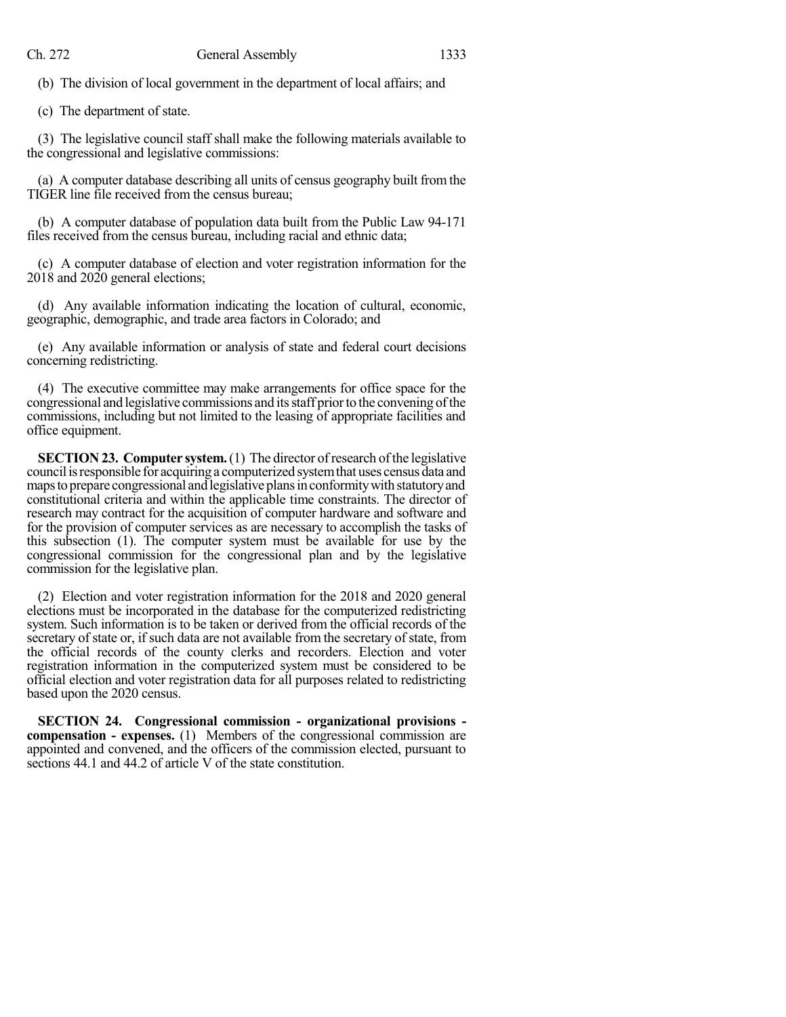(b) The division of local government in the department of local affairs; and

(c) The department of state.

(3) The legislative council staff shall make the following materials available to the congressional and legislative commissions:

(a) A computer database describing all units of census geography built from the TIGER line file received from the census bureau;

(b) A computer database of population data built from the Public Law 94-171 files received from the census bureau, including racial and ethnic data;

(c) A computer database of election and voter registration information for the 2018 and 2020 general elections;

(d) Any available information indicating the location of cultural, economic, geographic, demographic, and trade area factors in Colorado; and

(e) Any available information or analysis of state and federal court decisions concerning redistricting.

(4) The executive committee may make arrangements for office space for the congressional and legislative commissions and itsstaff priorto the convening ofthe commissions, including but not limited to the leasing of appropriate facilities and office equipment.

**SECTION 23. Computer system.** (1) The director of research of the legislative council is responsible for acquiring a computerized system that uses census data and maps to prepare congressional and legislative plans in conformity with statutory and constitutional criteria and within the applicable time constraints. The director of research may contract for the acquisition of computer hardware and software and for the provision of computer services as are necessary to accomplish the tasks of this subsection (1). The computer system must be available for use by the congressional commission for the congressional plan and by the legislative commission for the legislative plan.

(2) Election and voter registration information for the 2018 and 2020 general elections must be incorporated in the database for the computerized redistricting system. Such information is to be taken or derived from the official records of the secretary of state or, if such data are not available from the secretary of state, from the official records of the county clerks and recorders. Election and voter registration information in the computerized system must be considered to be official election and voter registration data for all purposes related to redistricting based upon the 2020 census.

**SECTION 24. Congressional commission - organizational provisions compensation - expenses.** (1) Members of the congressional commission are appointed and convened, and the officers of the commission elected, pursuant to sections 44.1 and 44.2 of article V of the state constitution.